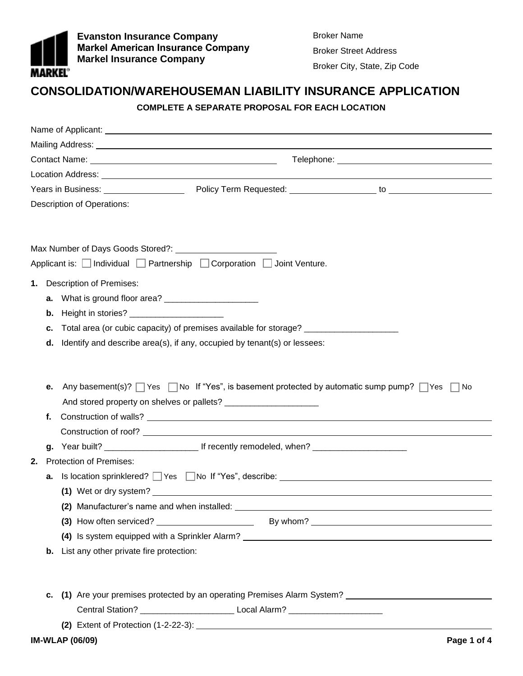

**Evanston Insurance Company Markel American Insurance Company Markel Insurance Company** 

Broker Name Broker Street Address Broker City, State, Zip Code

## **CONSOLIDATION/WAREHOUSEMAN LIABILITY INSURANCE APPLICATION**

## **COMPLETE A SEPARATE PROPOSAL FOR EACH LOCATION**

|    | <b>Description of Operations:</b>                                                                                  |  |  |  |  |  |  |  |
|----|--------------------------------------------------------------------------------------------------------------------|--|--|--|--|--|--|--|
|    |                                                                                                                    |  |  |  |  |  |  |  |
|    | Applicant is: $\Box$ Individual $\Box$ Partnership $\Box$ Corporation $\Box$ Joint Venture.                        |  |  |  |  |  |  |  |
|    |                                                                                                                    |  |  |  |  |  |  |  |
| 1. | <b>Description of Premises:</b>                                                                                    |  |  |  |  |  |  |  |
|    |                                                                                                                    |  |  |  |  |  |  |  |
|    | <b>b.</b> Height in stories?                                                                                       |  |  |  |  |  |  |  |
| C. | Total area (or cubic capacity) of premises available for storage? _____________________                            |  |  |  |  |  |  |  |
|    | $d.$ Identify and describe area(s), if any, occupied by tenant(s) or lessees:                                      |  |  |  |  |  |  |  |
|    |                                                                                                                    |  |  |  |  |  |  |  |
|    |                                                                                                                    |  |  |  |  |  |  |  |
| е. | Any basement(s)? $\Box$ Yes $\Box$ No If "Yes", is basement protected by automatic sump pump? $\Box$ Yes $\Box$ No |  |  |  |  |  |  |  |
|    |                                                                                                                    |  |  |  |  |  |  |  |
| f. |                                                                                                                    |  |  |  |  |  |  |  |
|    |                                                                                                                    |  |  |  |  |  |  |  |
| 2. | <b>Protection of Premises:</b>                                                                                     |  |  |  |  |  |  |  |
|    | <b>a.</b> Is location sprinklered? $\Box$ Yes $\Box$ No If "Yes", describe: $\Box$                                 |  |  |  |  |  |  |  |
|    |                                                                                                                    |  |  |  |  |  |  |  |
|    |                                                                                                                    |  |  |  |  |  |  |  |
|    |                                                                                                                    |  |  |  |  |  |  |  |
|    |                                                                                                                    |  |  |  |  |  |  |  |
| b. | List any other private fire protection:                                                                            |  |  |  |  |  |  |  |
|    |                                                                                                                    |  |  |  |  |  |  |  |
|    |                                                                                                                    |  |  |  |  |  |  |  |
| c. |                                                                                                                    |  |  |  |  |  |  |  |
|    |                                                                                                                    |  |  |  |  |  |  |  |
|    |                                                                                                                    |  |  |  |  |  |  |  |
|    | <b>IM-WLAP (06/09)</b><br>Page 1 of 4                                                                              |  |  |  |  |  |  |  |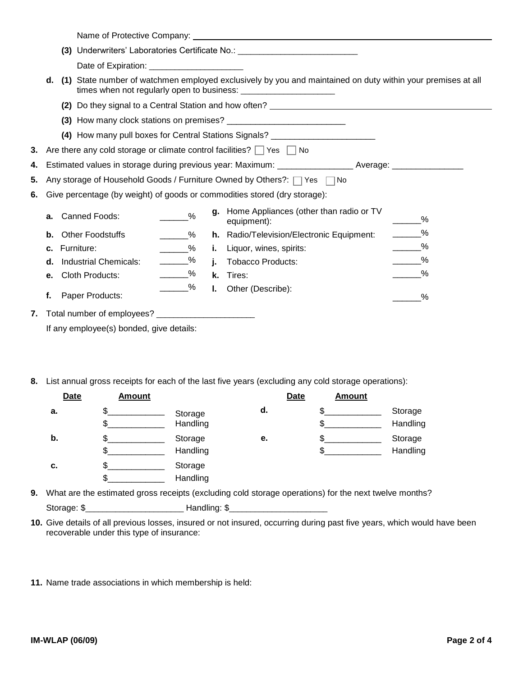|    |                                                        |               |    | (3) Underwriters' Laboratories Certificate No.: ________________________________                            |               |
|----|--------------------------------------------------------|---------------|----|-------------------------------------------------------------------------------------------------------------|---------------|
|    |                                                        |               |    |                                                                                                             |               |
| d. |                                                        |               |    | (1) State number of watchmen employed exclusively by you and maintained on duty within your premises at all |               |
|    |                                                        |               |    |                                                                                                             |               |
|    |                                                        |               |    |                                                                                                             |               |
|    |                                                        |               |    | (4) How many pull boxes for Central Stations Signals? __________________________                            |               |
|    |                                                        |               |    | 3. Are there any cold storage or climate control facilities? $\Box$ Yes $\Box$ No                           |               |
|    |                                                        |               |    | 4. Estimated values in storage during previous year: Maximum: _________________Average: ________________    |               |
|    |                                                        |               |    | 5. Any storage of Household Goods / Furniture Owned by Others?: $\Box$ Yes $\Box$ No                        |               |
|    |                                                        |               |    | 6. Give percentage (by weight) of goods or commodities stored (dry storage):                                |               |
| а. | Canned Foods:                                          | $\frac{9}{6}$ |    | g. Home Appliances (other than radio or TV<br>equipment):                                                   | %             |
| b. | <b>Other Foodstuffs</b>                                | $\frac{9}{6}$ |    | h. Radio/Television/Electronic Equipment:                                                                   | $\_\_\_\_\$   |
| c. | Furniture:                                             | $\_\_\_\_\$   |    | <b>i.</b> Liquor, wines, spirits:                                                                           | $\frac{9}{6}$ |
| d. | <b>Industrial Chemicals:</b>                           | _______%      |    | j. Tobacco Products:                                                                                        | _______%      |
| е. | Cloth Products:                                        | _______%      |    | k. Tires:                                                                                                   | $\%$          |
| f. | Paper Products:                                        | _______%      | Ъ. | Other (Describe):                                                                                           | %             |
|    | 7. Total number of employees? ________________________ |               |    |                                                                                                             |               |
|    | If any employee(s) bonded, give details:               |               |    |                                                                                                             |               |

**8.** List annual gross receipts for each of the last five years (excluding any cold storage operations):

| <b>Date</b> | <b>Amount</b> |                     |    | <b>Date</b> | <b>Amount</b> |                     |
|-------------|---------------|---------------------|----|-------------|---------------|---------------------|
| a.          | Œ<br>J        | Storage<br>Handling | d. |             |               | Storage<br>Handling |
| b.          | \$<br>\$      | Storage<br>Handling | е. | c           |               | Storage<br>Handling |
| c.          | Œ<br>\$       | Storage<br>Handling |    |             |               |                     |

- **9.** What are the estimated gross receipts (excluding cold storage operations) for the next twelve months? Storage: \$\_\_\_\_\_\_\_\_\_\_\_\_\_\_\_\_\_\_\_\_\_\_\_\_\_\_\_\_\_\_\_Handling: \$\_
- **10.** Give details of all previous losses, insured or not insured, occurring during past five years, which would have been recoverable under this type of insurance:
- **11.** Name trade associations in which membership is held: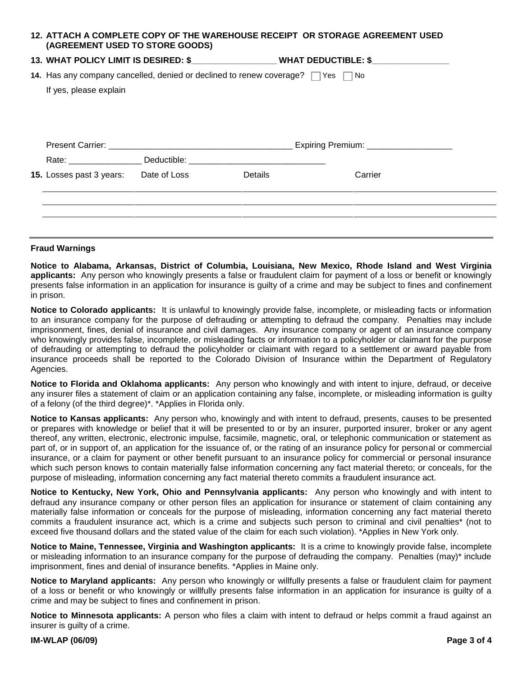| (AGREEMENT USED TO STORE GOODS)                                                                  |  |         | 12. ATTACH A COMPLETE COPY OF THE WAREHOUSE RECEIPT OR STORAGE AGREEMENT USED             |  |  |  |
|--------------------------------------------------------------------------------------------------|--|---------|-------------------------------------------------------------------------------------------|--|--|--|
|                                                                                                  |  |         | 13. WHAT POLICY LIMIT IS DESIRED: \$____________________WHAT DEDUCTIBLE: \$______________ |  |  |  |
| <b>14.</b> Has any company cancelled, denied or declined to renew coverage? $\Box$ Yes $\Box$ No |  |         |                                                                                           |  |  |  |
| If yes, please explain                                                                           |  |         |                                                                                           |  |  |  |
|                                                                                                  |  |         |                                                                                           |  |  |  |
|                                                                                                  |  |         |                                                                                           |  |  |  |
|                                                                                                  |  |         |                                                                                           |  |  |  |
|                                                                                                  |  |         |                                                                                           |  |  |  |
| <b>15.</b> Losses past 3 years: Date of Loss                                                     |  | Details | Carrier                                                                                   |  |  |  |
|                                                                                                  |  |         |                                                                                           |  |  |  |

## **Fraud Warnings**

**Notice to Alabama, Arkansas, District of Columbia, Louisiana, New Mexico, Rhode Island and West Virginia applicants:** Any person who knowingly presents a false or fraudulent claim for payment of a loss or benefit or knowingly presents false information in an application for insurance is guilty of a crime and may be subject to fines and confinement in prison.

**Notice to Colorado applicants:** It is unlawful to knowingly provide false, incomplete, or misleading facts or information to an insurance company for the purpose of defrauding or attempting to defraud the company. Penalties may include imprisonment, fines, denial of insurance and civil damages. Any insurance company or agent of an insurance company who knowingly provides false, incomplete, or misleading facts or information to a policyholder or claimant for the purpose of defrauding or attempting to defraud the policyholder or claimant with regard to a settlement or award payable from insurance proceeds shall be reported to the Colorado Division of Insurance within the Department of Regulatory Agencies.

**Notice to Florida and Oklahoma applicants:** Any person who knowingly and with intent to injure, defraud, or deceive any insurer files a statement of claim or an application containing any false, incomplete, or misleading information is guilty of a felony (of the third degree)\*. \*Applies in Florida only.

**Notice to Kansas applicants:** Any person who, knowingly and with intent to defraud, presents, causes to be presented or prepares with knowledge or belief that it will be presented to or by an insurer, purported insurer, broker or any agent thereof, any written, electronic, electronic impulse, facsimile, magnetic, oral, or telephonic communication or statement as part of, or in support of, an application for the issuance of, or the rating of an insurance policy for personal or commercial insurance, or a claim for payment or other benefit pursuant to an insurance policy for commercial or personal insurance which such person knows to contain materially false information concerning any fact material thereto; or conceals, for the purpose of misleading, information concerning any fact material thereto commits a fraudulent insurance act.

**Notice to Kentucky, New York, Ohio and Pennsylvania applicants:** Any person who knowingly and with intent to defraud any insurance company or other person files an application for insurance or statement of claim containing any materially false information or conceals for the purpose of misleading, information concerning any fact material thereto commits a fraudulent insurance act, which is a crime and subjects such person to criminal and civil penalties\* (not to exceed five thousand dollars and the stated value of the claim for each such violation). \*Applies in New York only.

**Notice to Maine, Tennessee, Virginia and Washington applicants:** It is a crime to knowingly provide false, incomplete or misleading information to an insurance company for the purpose of defrauding the company. Penalties (may)\* include imprisonment, fines and denial of insurance benefits. \*Applies in Maine only.

**Notice to Maryland applicants:** Any person who knowingly or willfully presents a false or fraudulent claim for payment of a loss or benefit or who knowingly or willfully presents false information in an application for insurance is guilty of a crime and may be subject to fines and confinement in prison.

**Notice to Minnesota applicants:** A person who files a claim with intent to defraud or helps commit a fraud against an insurer is guilty of a crime.